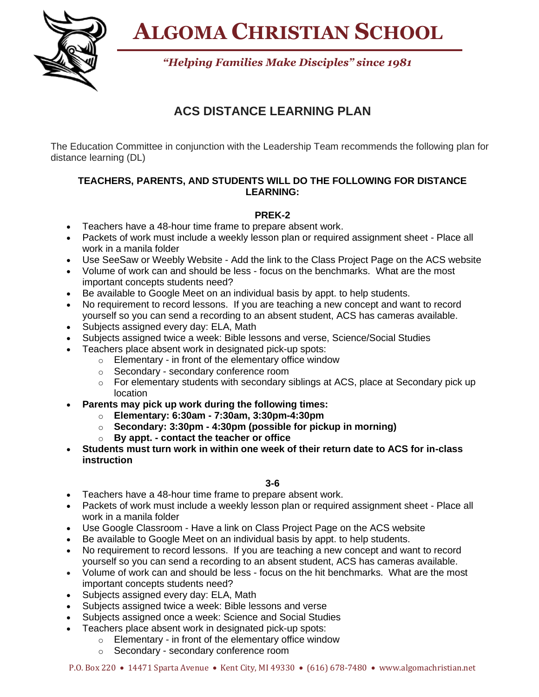**ALGOMA CHRISTIAN SCHOOL**



*"Helping Families Make Disciples" since 1981*

# **ACS DISTANCE LEARNING PLAN**

The Education Committee in conjunction with the Leadership Team recommends the following plan for distance learning (DL)

# **TEACHERS, PARENTS, AND STUDENTS WILL DO THE FOLLOWING FOR DISTANCE LEARNING:**

# **PREK-2**

- Teachers have a 48-hour time frame to prepare absent work.
- Packets of work must include a weekly lesson plan or required assignment sheet Place all work in a manila folder
- Use SeeSaw or Weebly Website Add the link to the Class Project Page on the ACS website
- Volume of work can and should be less focus on the benchmarks. What are the most important concepts students need?
- Be available to Google Meet on an individual basis by appt. to help students.
- No requirement to record lessons. If you are teaching a new concept and want to record yourself so you can send a recording to an absent student, ACS has cameras available.
- Subjects assigned every day: ELA, Math
- Subjects assigned twice a week: Bible lessons and verse, Science/Social Studies
- Teachers place absent work in designated pick-up spots:
	- o Elementary in front of the elementary office window
	- o Secondary secondary conference room
	- $\circ$  For elementary students with secondary siblings at ACS, place at Secondary pick up location
- **Parents may pick up work during the following times:**
	- o **Elementary: 6:30am - 7:30am, 3:30pm-4:30pm**
	- o **Secondary: 3:30pm - 4:30pm (possible for pickup in morning)**
	- o **By appt. - contact the teacher or office**
- **Students must turn work in within one week of their return date to ACS for in-class instruction**

**3-6**

- Teachers have a 48-hour time frame to prepare absent work.
- Packets of work must include a weekly lesson plan or required assignment sheet Place all work in a manila folder
- Use Google Classroom Have a link on Class Project Page on the ACS website
- Be available to Google Meet on an individual basis by appt. to help students.
- No requirement to record lessons. If you are teaching a new concept and want to record yourself so you can send a recording to an absent student, ACS has cameras available.
- Volume of work can and should be less focus on the hit benchmarks. What are the most important concepts students need?
- Subjects assigned every day: ELA, Math
- Subjects assigned twice a week: Bible lessons and verse
- Subjects assigned once a week: Science and Social Studies
- Teachers place absent work in designated pick-up spots:
	- o Elementary in front of the elementary office window
	- o Secondary secondary conference room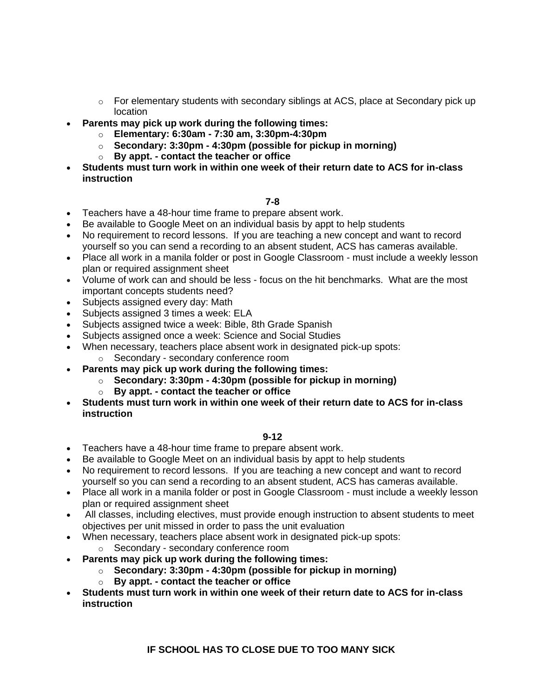- o For elementary students with secondary siblings at ACS, place at Secondary pick up location
- **Parents may pick up work during the following times:**
	- o **Elementary: 6:30am - 7:30 am, 3:30pm-4:30pm**
	- o **Secondary: 3:30pm - 4:30pm (possible for pickup in morning)**
	- o **By appt. - contact the teacher or office**
- **Students must turn work in within one week of their return date to ACS for in-class instruction**

### **7-8**

- Teachers have a 48-hour time frame to prepare absent work.
- Be available to Google Meet on an individual basis by appt to help students
- No requirement to record lessons. If you are teaching a new concept and want to record yourself so you can send a recording to an absent student, ACS has cameras available.
- Place all work in a manila folder or post in Google Classroom must include a weekly lesson plan or required assignment sheet
- Volume of work can and should be less focus on the hit benchmarks. What are the most important concepts students need?
- Subjects assigned every day: Math
- Subjects assigned 3 times a week: ELA
- Subjects assigned twice a week: Bible, 8th Grade Spanish
- Subjects assigned once a week: Science and Social Studies
- When necessary, teachers place absent work in designated pick-up spots:
	- o Secondary secondary conference room
- **Parents may pick up work during the following times:**
	- o **Secondary: 3:30pm - 4:30pm (possible for pickup in morning)**
	- o **By appt. - contact the teacher or office**
- **Students must turn work in within one week of their return date to ACS for in-class instruction**

#### **9-12**

- Teachers have a 48-hour time frame to prepare absent work.
- Be available to Google Meet on an individual basis by appt to help students
- No requirement to record lessons. If you are teaching a new concept and want to record yourself so you can send a recording to an absent student, ACS has cameras available.
- Place all work in a manila folder or post in Google Classroom must include a weekly lesson plan or required assignment sheet
- All classes, including electives, must provide enough instruction to absent students to meet objectives per unit missed in order to pass the unit evaluation
- When necessary, teachers place absent work in designated pick-up spots:
	- o Secondary secondary conference room
- **Parents may pick up work during the following times:**
	- o **Secondary: 3:30pm - 4:30pm (possible for pickup in morning)**
	- o **By appt. - contact the teacher or office**
- **Students must turn work in within one week of their return date to ACS for in-class instruction**